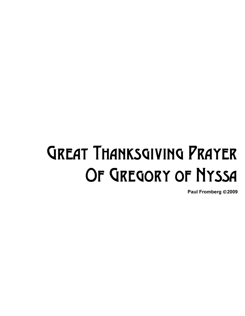## Great Thanksgiving Prayer OF GREGORY OF NYSSA

**Paul Fromberg** ©**2009**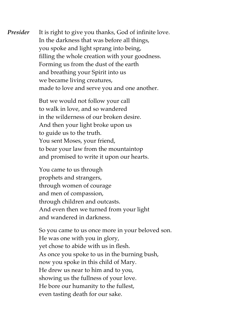*Presider* It is right to give you thanks, God of infinite love. In the darkness that was before all things, you spoke and light sprang into being, filling the whole creation with your goodness. Forming us from the dust of the earth and breathing your Spirit into us we became living creatures, made to love and serve you and one another.

> But we would not follow your call to walk in love, and so wandered in the wilderness of our broken desire. And then your light broke upon us to guide us to the truth. You sent Moses, your friend, to bear your law from the mountaintop and promised to write it upon our hearts.

You came to us through prophets and strangers, through women of courage and men of compassion, through children and outcasts. And even then we turned from your light and wandered in darkness.

So you came to us once more in your beloved son. He was one with you in glory, yet chose to abide with us in flesh. As once you spoke to us in the burning bush, now you spoke in this child of Mary. He drew us near to him and to you, showing us the fullness of your love. He bore our humanity to the fullest, even tasting death for our sake.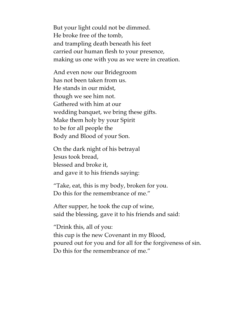But your light could not be dimmed. He broke free of the tomb, and trampling death beneath his feet carried our human flesh to your presence, making us one with you as we were in creation.

And even now our Bridegroom has not been taken from us. He stands in our midst, though we see him not. Gathered with him at our wedding banquet, we bring these gifts. Make them holy by your Spirit to be for all people the Body and Blood of your Son.

On the dark night of his betrayal Jesus took bread, blessed and broke it, and gave it to his friends saying:

"Take, eat, this is my body, broken for you. Do this for the remembrance of me."

After supper, he took the cup of wine, said the blessing, gave it to his friends and said:

"Drink this, all of you: this cup is the new Covenant in my Blood, poured out for you and for all for the forgiveness of sin. Do this for the remembrance of me."